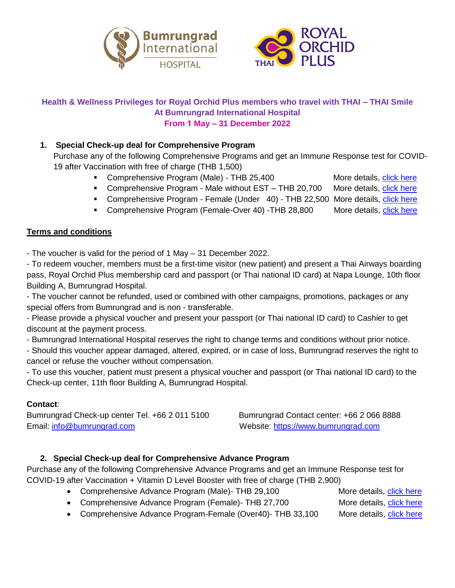



### **Health & Wellness Privileges for Royal Orchid Plus members who travel with THAI – THAI Smile At Bumrungrad International Hospital From 1 May – 31 December 2022**

### **1. Special Check-up deal for Comprehensive Program**

Purchase any of the following Comprehensive Programs and get an Immune Response test for COVID-19 after Vaccination with free of charge (THB 1,500)

- Comprehensive Program (Male) THB 25,400 More details, [click here](https://www.bumrungrad.com/en/packages/comprehensive-male)
- Comprehensive Program Male without EST THB 20,700 More details, [click here](https://www.bumrungrad.com/en/packages/comprehensive-male-without-est)
- Comprehensive Program Female (Under 40) THB 22,500 More details, [click here](https://www.bumrungrad.com/en/packages/comprehensive-female-under)
- Comprehensive Program (Female-Over 40) -THB 28,800 More details, [click here](https://www.bumrungrad.com/en/packages/comprehensive-female-over)

### **Terms and conditions**

- The voucher is valid for the period of 1 May – 31 December 2022.

- To redeem voucher, members must be a first-time visitor (new patient) and present a Thai Airways boarding pass, Royal Orchid Plus membership card and passport (or Thai national ID card) at Napa Lounge, 10th floor Building A, Bumrungrad Hospital.

- The voucher cannot be refunded, used or combined with other campaigns, promotions, packages or any special offers from Bumrungrad and is non - transferable.

- Please provide a physical voucher and present your passport (or Thai national ID card) to Cashier to get discount at the payment process.

- Bumrungrad International Hospital reserves the right to change terms and conditions without prior notice.

- Should this voucher appear damaged, altered, expired, or in case of loss, Bumrungrad reserves the right to cancel or refuse the voucher without compensation.

- To use this voucher, patient must present a physical voucher and passport (or Thai national ID card) to the Check-up center, 11th floor Building A, Bumrungrad Hospital.

### **Contact**:

Bumrungrad Check-up center Tel. +66 2 011 5100 Bumrungrad Contact center: +66 2 066 8888 Email: [info@bumrungrad.com](mailto:info@bumrungrad.com) Website: [https://www.bumrungrad.com](https://www.bumrungrad.com/)

### **2. Special Check-up deal for Comprehensive Advance Program**

Purchase any of the following Comprehensive Advance Programs and get an Immune Response test for COVID-19 after Vaccination + Vitamin D Level Booster with free of charge (THB 2,900)

- Comprehensive Advance Program (Male)- THB 29,100 More details, [click here](https://www.bumrungrad.com/en/packages/comprehensive-advance-male)
- Comprehensive Advance Program (Female)- THB 27,700 More details, [click here](https://www.bumrungrad.com/en/packages/comprehensive-advance-female-under)

• Comprehensive Advance Program-Female (Over40)- THB 33,100 More details, [click here](https://www.bumrungrad.com/en/packages/comprehensive-advance-female-over)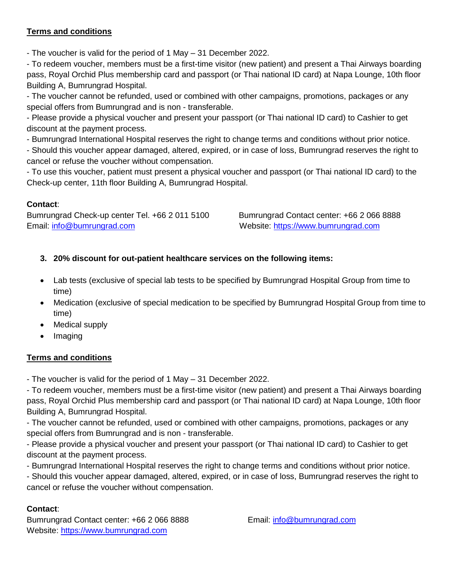### **Terms and conditions**

- The voucher is valid for the period of 1 May – 31 December 2022.

- To redeem voucher, members must be a first-time visitor (new patient) and present a Thai Airways boarding pass, Royal Orchid Plus membership card and passport (or Thai national ID card) at Napa Lounge, 10th floor Building A, Bumrungrad Hospital.

- The voucher cannot be refunded, used or combined with other campaigns, promotions, packages or any special offers from Bumrungrad and is non - transferable.

- Please provide a physical voucher and present your passport (or Thai national ID card) to Cashier to get discount at the payment process.

- Bumrungrad International Hospital reserves the right to change terms and conditions without prior notice.

- Should this voucher appear damaged, altered, expired, or in case of loss, Bumrungrad reserves the right to cancel or refuse the voucher without compensation.

- To use this voucher, patient must present a physical voucher and passport (or Thai national ID card) to the Check-up center, 11th floor Building A, Bumrungrad Hospital.

### **Contact**:

Bumrungrad Check-up center Tel. +66 2 011 5100 Bumrungrad Contact center: +66 2 066 8888 Email: [info@bumrungrad.com](mailto:info@bumrungrad.com) Website: [https://www.bumrungrad.com](https://www.bumrungrad.com/)

### **3. 20% discount for out-patient healthcare services on the following items:**

- Lab tests (exclusive of special lab tests to be specified by Bumrungrad Hospital Group from time to time)
- Medication (exclusive of special medication to be specified by Bumrungrad Hospital Group from time to time)
- Medical supply
- Imaging

### **Terms and conditions**

- The voucher is valid for the period of 1 May – 31 December 2022.

- To redeem voucher, members must be a first-time visitor (new patient) and present a Thai Airways boarding pass, Royal Orchid Plus membership card and passport (or Thai national ID card) at Napa Lounge, 10th floor Building A, Bumrungrad Hospital.

- The voucher cannot be refunded, used or combined with other campaigns, promotions, packages or any special offers from Bumrungrad and is non - transferable.

- Please provide a physical voucher and present your passport (or Thai national ID card) to Cashier to get discount at the payment process.

- Bumrungrad International Hospital reserves the right to change terms and conditions without prior notice.

- Should this voucher appear damaged, altered, expired, or in case of loss, Bumrungrad reserves the right to cancel or refuse the voucher without compensation.

### **Contact**:

Bumrungrad Contact center: +66 2 066 8888 Email: [info@bumrungrad.com](mailto:info@bumrungrad.com) Website: [https://www.bumrungrad.com](https://www.bumrungrad.com/)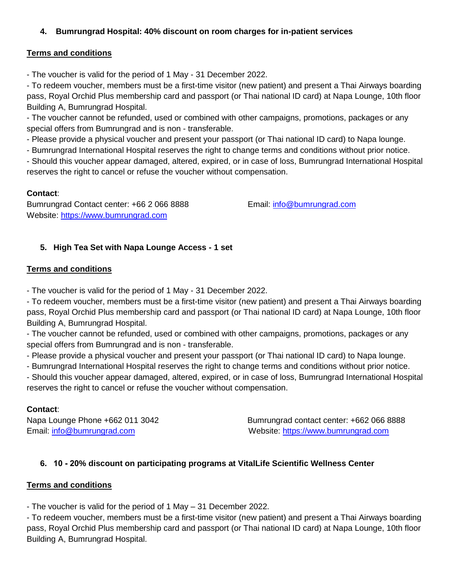### **4. Bumrungrad Hospital: 40% discount on room charges for in-patient services**

### **Terms and conditions**

- The voucher is valid for the period of 1 May - 31 December 2022.

- To redeem voucher, members must be a first-time visitor (new patient) and present a Thai Airways boarding pass, Royal Orchid Plus membership card and passport (or Thai national ID card) at Napa Lounge, 10th floor Building A, Bumrungrad Hospital.

- The voucher cannot be refunded, used or combined with other campaigns, promotions, packages or any special offers from Bumrungrad and is non - transferable.

- Please provide a physical voucher and present your passport (or Thai national ID card) to Napa lounge.

- Bumrungrad International Hospital reserves the right to change terms and conditions without prior notice.

- Should this voucher appear damaged, altered, expired, or in case of loss, Bumrungrad International Hospital reserves the right to cancel or refuse the voucher without compensation.

## **Contact**:

Bumrungrad Contact center: +66 2 066 8888 Email: [info@bumrungrad.com](mailto:info@bumrungrad.com) Website: [https://www.bumrungrad.com](https://www.bumrungrad.com/)

## **5. High Tea Set with Napa Lounge Access - 1 set**

### **Terms and conditions**

- The voucher is valid for the period of 1 May - 31 December 2022.

- To redeem voucher, members must be a first-time visitor (new patient) and present a Thai Airways boarding pass, Royal Orchid Plus membership card and passport (or Thai national ID card) at Napa Lounge, 10th floor Building A, Bumrungrad Hospital.

- The voucher cannot be refunded, used or combined with other campaigns, promotions, packages or any special offers from Bumrungrad and is non - transferable.

- Please provide a physical voucher and present your passport (or Thai national ID card) to Napa lounge.

- Bumrungrad International Hospital reserves the right to change terms and conditions without prior notice.

- Should this voucher appear damaged, altered, expired, or in case of loss, Bumrungrad International Hospital reserves the right to cancel or refuse the voucher without compensation.

## **Contact**:

Napa Lounge Phone +662 011 3042 Bumrungrad contact center: +662 066 8888 Email: [info@bumrungrad.com](mailto:info@bumrungrad.com) Website: [https://www.bumrungrad.com](https://www.bumrungrad.com/)

## **6. 10 - 20% discount on participating programs at VitalLife Scientific Wellness Center**

### **Terms and conditions**

- The voucher is valid for the period of 1 May – 31 December 2022.

- To redeem voucher, members must be a first-time visitor (new patient) and present a Thai Airways boarding pass, Royal Orchid Plus membership card and passport (or Thai national ID card) at Napa Lounge, 10th floor Building A, Bumrungrad Hospital.